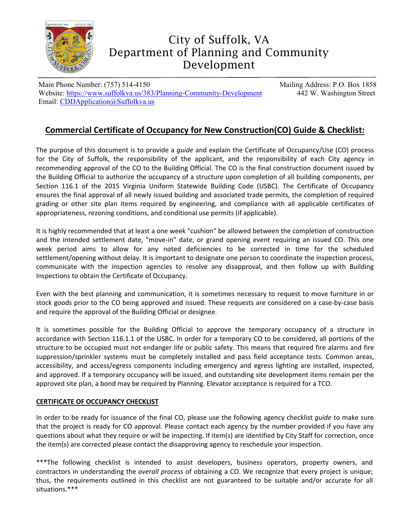

# City of Suffolk, VA Department of Planning and Community Development

Main Phone Number: (757) 514-4150 Mailing Address: P.O. Box 1858 Website:<https://www.suffolkva.us/383/Planning-Community-Development> 442 W. Washington Street Email: [CDDApplication@Suffolkva.us](mailto:CDDApplication@suffolkva.us)

## **Commercial Certificate of Occupancy for New Construction(CO) Guide & Checklist:**

The purpose of this document is to provide a *guide* and explain the Certificate of Occupancy/Use (CO) process for the City of Suffolk, the responsibility of the applicant, and the responsibility of each City agency in recommending approval of the CO to the Building Official. The CO is the final construction document issued by the Building Official to authorize the occupancy of a structure upon completion of all building components, per Section 116.1 of the 2015 Virginia Uniform Statewide Building Code (USBC). The Certificate of Occupancy ensures the final approval of all newly issued building and associated trade permits, the completion of required grading or other site plan items required by engineering, and compliance with all applicable certificates of appropriateness, rezoning conditions, and conditional use permits (if applicable).

It is highly recommended that at least a one week "cushion" be allowed between the completion of construction and the intended settlement date, "move-in" date, or grand opening event requiring an issued CO. This one week period aims to allow for any noted deficiencies to be corrected in time for the scheduled settlement/opening without delay. It is important to designate one person to coordinate the inspection process, communicate with the inspection agencies to resolve any disapproval, and then follow up with Building Inspections to obtain the Certificate of Occupancy.

Even with the best planning and communication, it is sometimes necessary to request to move furniture in or stock goods prior to the CO being approved and issued. These requests are considered on a case-by-case basis and require the approval of the Building Official or designee.

It is sometimes possible for the Building Official to approve the temporary occupancy of a structure in accordance with Section 116.1.1 of the USBC. In order for a temporary CO to be considered, all portions of the structure to be occupied must not endanger life or public safety. This means that required fire alarms and fire suppression/sprinkler systems must be completely installed and pass field acceptance tests. Common areas, accessibility, and access/egress components including emergency and egress lighting are installed, inspected, and approved. If a temporary occupancy will be issued, and outstanding site development items remain per the approved site plan, a bond may be required by Planning. Elevator acceptance is required for a TCO.

### **CERTIFICATE OF OCCUPANCY CHECKLIST**

In order to be ready for issuance of the final CO, please use the following agency checklist *guide* to make sure that the project is ready for CO approval. Please contact each agency by the number provided if you have any questions about what they require or will be inspecting. If item(s) are identified by City Staff for correction, once the item(s) are corrected please contact the disapproving agency to reschedule your inspection.

\*\*\*The following checklist is intended to assist developers, business operators, property owners, and contractors in understanding the *overall process* of obtaining a CO. We recognize that every project is unique; thus, the requirements outlined in this checklist are not guaranteed to be suitable and/or accurate for all situations.\*\*\*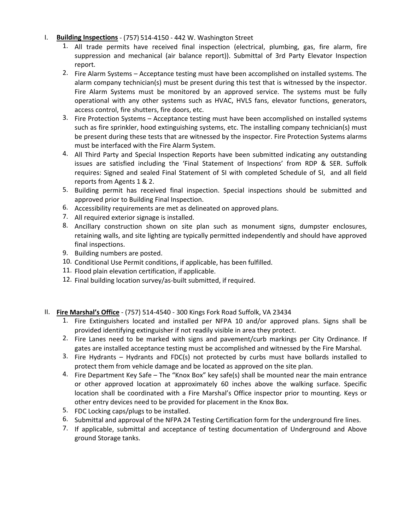#### I. **Building Inspections** - (757) 514-4150 - 442 W. Washington Street

- 1. All trade permits have received final inspection (electrical, plumbing, gas, fire alarm, fire suppression and mechanical (air balance report)). Submittal of 3rd Party Elevator Inspection report.
- 2. Fire Alarm Systems Acceptance testing must have been accomplished on installed systems. The alarm company technician(s) must be present during this test that is witnessed by the inspector. Fire Alarm Systems must be monitored by an approved service. The systems must be fully operational with any other systems such as HVAC, HVLS fans, elevator functions, generators, access control, fire shutters, fire doors, etc.
- 3. Fire Protection Systems Acceptance testing must have been accomplished on installed systems such as fire sprinkler, hood extinguishing systems, etc. The installing company technician(s) must be present during these tests that are witnessed by the inspector. Fire Protection Systems alarms must be interfaced with the Fire Alarm System.
- 4. All Third Party and Special Inspection Reports have been submitted indicating any outstanding issues are satisfied including the 'Final Statement of Inspections' from RDP & SER. Suffolk requires: Signed and sealed Final Statement of SI with completed Schedule of SI, and all field reports from Agents 1 & 2.
- 5. Building permit has received final inspection. Special inspections should be submitted and approved prior to Building Final Inspection.
- 6. Accessibility requirements are met as delineated on approved plans.
- 7. All required exterior signage is installed.
- 8. Ancillary construction shown on site plan such as monument signs, dumpster enclosures, retaining walls, and site lighting are typically permitted independently and should have approved final inspections.
- 9. Building numbers are posted.
- 10. Conditional Use Permit conditions, if applicable, has been fulfilled.
- 11. Flood plain elevation certification, if applicable.
- 12. Final building location survey/as-built submitted, if required.
- II. **Fire Marshal's Office** (757) 514-4540 300 Kings Fork Road Suffolk, VA 23434
	- 1. Fire Extinguishers located and installed per NFPA 10 and/or approved plans. Signs shall be provided identifying extinguisher if not readily visible in area they protect.
	- 2. Fire Lanes need to be marked with signs and pavement/curb markings per City Ordinance. If gates are installed acceptance testing must be accomplished and witnessed by the Fire Marshal.
	- 3. Fire Hydrants Hydrants and FDC(s) not protected by curbs must have bollards installed to protect them from vehicle damage and be located as approved on the site plan.
	- 4. Fire Department Key Safe The "Knox Box" key safe(s) shall be mounted near the main entrance or other approved location at approximately 60 inches above the walking surface. Specific location shall be coordinated with a Fire Marshal's Office inspector prior to mounting. Keys or other entry devices need to be provided for placement in the Knox Box.
	- 5. FDC Locking caps/plugs to be installed.
	- 6. Submittal and approval of the NFPA 24 Testing Certification form for the underground fire lines.
	- 7. If applicable, submittal and acceptance of testing documentation of Underground and Above ground Storage tanks.